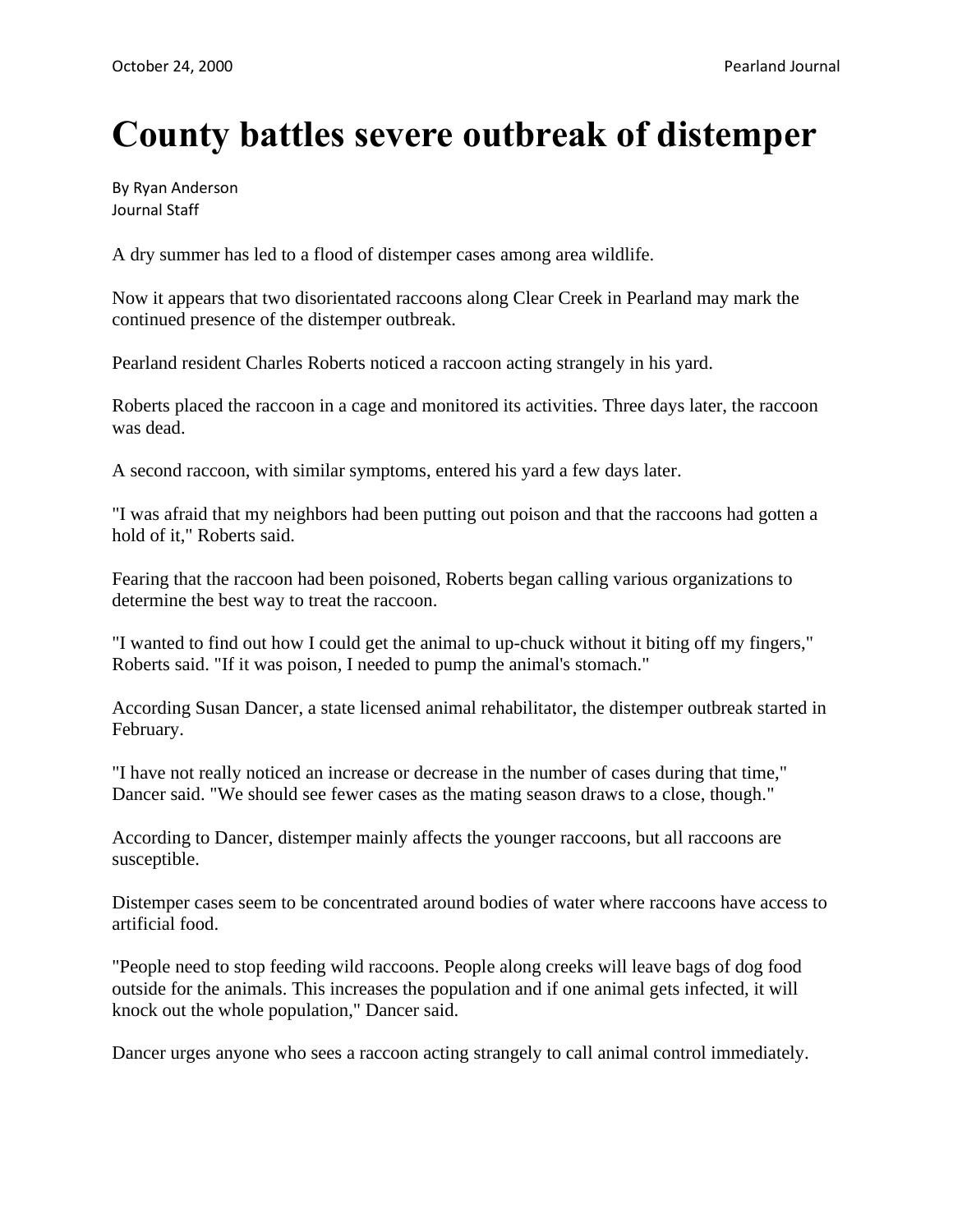## **County battles severe outbreak of distemper**

By Ryan Anderson Journal Staff

A dry summer has led to a flood of distemper cases among area wildlife.

Now it appears that two disorientated raccoons along Clear Creek in Pearland may mark the continued presence of the distemper outbreak.

Pearland resident Charles Roberts noticed a raccoon acting strangely in his yard.

Roberts placed the raccoon in a cage and monitored its activities. Three days later, the raccoon was dead.

A second raccoon, with similar symptoms, entered his yard a few days later.

"I was afraid that my neighbors had been putting out poison and that the raccoons had gotten a hold of it," Roberts said.

Fearing that the raccoon had been poisoned, Roberts began calling various organizations to determine the best way to treat the raccoon.

"I wanted to find out how I could get the animal to up-chuck without it biting off my fingers," Roberts said. "If it was poison, I needed to pump the animal's stomach."

According Susan Dancer, a state licensed animal rehabilitator, the distemper outbreak started in February.

"I have not really noticed an increase or decrease in the number of cases during that time," Dancer said. "We should see fewer cases as the mating season draws to a close, though."

According to Dancer, distemper mainly affects the younger raccoons, but all raccoons are susceptible.

Distemper cases seem to be concentrated around bodies of water where raccoons have access to artificial food.

"People need to stop feeding wild raccoons. People along creeks will leave bags of dog food outside for the animals. This increases the population and if one animal gets infected, it will knock out the whole population," Dancer said.

Dancer urges anyone who sees a raccoon acting strangely to call animal control immediately.